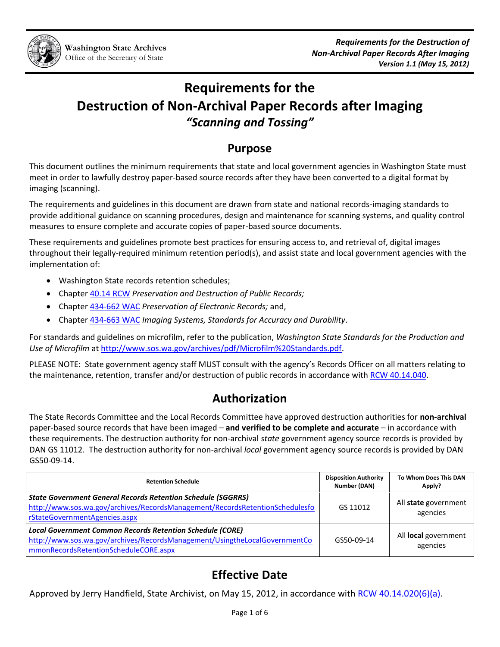# **Requirements for the Destruction of Non-Archival Paper Records after Imaging** *"Scanning and Tossing"*

## **Purpose**

This document outlines the minimum requirements that state and local government agencies in Washington State must meet in order to lawfully destroy paper-based source records after they have been converted to a digital format by imaging (scanning).

The requirements and guidelines in this document are drawn from state and national records-imaging standards to provide additional guidance on scanning procedures, design and maintenance for scanning systems, and quality control measures to ensure complete and accurate copies of paper-based source documents.

These requirements and guidelines promote best practices for ensuring access to, and retrieval of, digital images throughout their legally-required minimum retention period(s), and assist state and local government agencies with the implementation of:

- Washington State records retention schedules;
- Chapter [40.14 RCW](http://apps.leg.wa.gov/rcw/default.aspx?cite=40.14) *Preservation and Destruction of Public Records;*
- Chapter [434-662 WAC](http://apps.leg.wa.gov/wac/default.aspx?cite=434-662) *Preservation of Electronic Records;* and,
- Chapter [434-663 WAC](http://apps.leg.wa.gov/wac/default.aspx?cite=434-663) *Imaging Systems, Standards for Accuracy and Durability*.

For standards and guidelines on microfilm, refer to the publication, *[Washington State Standards for the Production and](http://www.sos.wa.gov/archives/pdf/Microfilm%20Standards.pdf)  [Use of Microfilm](http://www.sos.wa.gov/archives/pdf/Microfilm%20Standards.pdf)* a[t http://www.sos.wa.gov/archives/pdf/Microfilm%20Standards.pdf.](http://www.sos.wa.gov/archives/pdf/Microfilm%20Standards.pdf)

PLEASE NOTE: State government agency staff MUST consult with the agency's Records Officer on all matters relating to the maintenance, retention, transfer and/or destruction of public records in accordance with [RCW 40.14.040.](http://apps.leg.wa.gov/rcw/default.aspx?cite=40.14.040)

## **Authorization**

The State Records Committee and the Local Records Committee have approved destruction authorities for **non-archival** paper-based source records that have been imaged – **and verified to be complete and accurate** – in accordance with these requirements. The destruction authority for non-archival *state* government agency source records is provided by DAN GS 11012. The destruction authority for non-archival *local* government agency source records is provided by DAN GS50-09-14.

| <b>Retention Schedule</b>                                                                                                                                                               | <b>Disposition Authority</b><br>Number (DAN) | To Whom Does This DAN<br>Apply?  |
|-----------------------------------------------------------------------------------------------------------------------------------------------------------------------------------------|----------------------------------------------|----------------------------------|
| <b>State Government General Records Retention Schedule (SGGRRS)</b><br>http://www.sos.wa.gov/archives/RecordsManagement/RecordsRetentionSchedulesfo<br>rStateGovernmentAgencies.aspx    | GS 11012                                     | All state government<br>agencies |
| <b>Local Government Common Records Retention Schedule (CORE)</b><br>http://www.sos.wa.gov/archives/RecordsManagement/UsingtheLocalGovernmentCo<br>mmonRecordsRetentionScheduleCORE.aspx | GS50-09-14                                   | All local government<br>agencies |

# **Effective Date**

Approved by Jerry Handfield, State Archivist, on May 15, 2012, in accordance with [RCW 40.14.020\(6\)\(a\).](http://apps.leg.wa.gov/rcw/default.aspx?cite=40.14.020)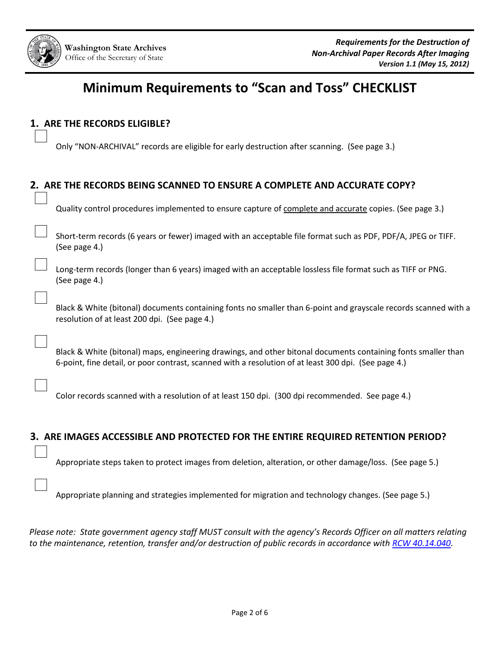# **Minimum Requirements to "Scan and Toss" CHECKLIST**

## **1. ARE THE RECORDS ELIGIBLE?**

Only "NON-ARCHIVAL" records are eligible for early destruction after scanning. (See page 3.)

| 2. ARE THE RECORDS BEING SCANNED TO ENSURE A COMPLETE AND ACCURATE COPY? |                                                                                                                                                                                                                       |  |  |
|--------------------------------------------------------------------------|-----------------------------------------------------------------------------------------------------------------------------------------------------------------------------------------------------------------------|--|--|
|                                                                          | Quality control procedures implemented to ensure capture of complete and accurate copies. (See page 3.)                                                                                                               |  |  |
|                                                                          | Short-term records (6 years or fewer) imaged with an acceptable file format such as PDF, PDF/A, JPEG or TIFF.<br>(See page 4.)                                                                                        |  |  |
|                                                                          | Long-term records (longer than 6 years) imaged with an acceptable lossless file format such as TIFF or PNG.<br>(See page 4.)                                                                                          |  |  |
|                                                                          | Black & White (bitonal) documents containing fonts no smaller than 6-point and grayscale records scanned with a<br>resolution of at least 200 dpi. (See page 4.)                                                      |  |  |
|                                                                          | Black & White (bitonal) maps, engineering drawings, and other bitonal documents containing fonts smaller than<br>6-point, fine detail, or poor contrast, scanned with a resolution of at least 300 dpi. (See page 4.) |  |  |
|                                                                          | Color records scanned with a resolution of at least 150 dpi. (300 dpi recommended. See page 4.)                                                                                                                       |  |  |

### **3. ARE IMAGES ACCESSIBLE AND PROTECTED FOR THE ENTIRE REQUIRED RETENTION PERIOD?**

Appropriate steps taken to protect images from deletion, alteration, or other damage/loss. (See page 5.)

Appropriate planning and strategies implemented for migration and technology changes. (See page 5.)

*Please note: State government agency staff MUST consult with the agency's Records Officer on all matters relating to the maintenance, retention, transfer and/or destruction of public records in accordance with [RCW 40.14.040.](http://apps.leg.wa.gov/rcw/default.aspx?cite=40.14.040)*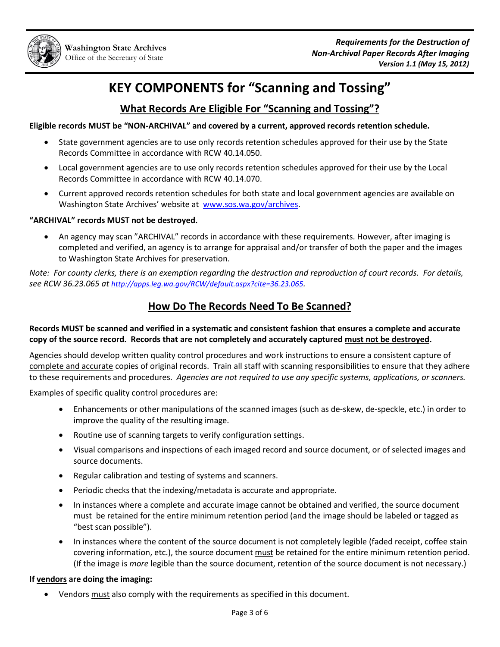

# **KEY COMPONENTS for "Scanning and Tossing"**

## **What Records Are Eligible For "Scanning and Tossing"?**

#### **Eligible records MUST be "NON-ARCHIVAL" and covered by a current, approved records retention schedule.**

- State government agencies are to use only records retention schedules approved for their use by the State Records Committee in accordance with RCW 40.14.050.
- Local government agencies are to use only records retention schedules approved for their use by the Local Records Committee in accordance with RCW 40.14.070.
- Current approved records retention schedules for both state and local government agencies are available on Washington State Archives' website at [www.sos.wa.gov/archives.](http://www.sos.wa.gov/archives)

#### **"ARCHIVAL" records MUST not be destroyed.**

 An agency may scan "ARCHIVAL" records in accordance with these requirements. However, after imaging is completed and verified, an agency is to arrange for appraisal and/or transfer of both the paper and the images to Washington State Archives for preservation.

*Note: For county clerks, there is an exemption regarding the destruction and reproduction of court records. For details, see RCW 36.23.065 at <http://apps.leg.wa.gov/RCW/default.aspx?cite=36.23.065>.*

## **How Do The Records Need To Be Scanned?**

#### **Records MUST be scanned and verified in a systematic and consistent fashion that ensures a complete and accurate copy of the source record. Records that are not completely and accurately captured must not be destroyed.**

Agencies should develop written quality control procedures and work instructions to ensure a consistent capture of complete and accurate copies of original records. Train all staff with scanning responsibilities to ensure that they adhere to these requirements and procedures. *Agencies are not required to use any specific systems, applications, or scanners.*

Examples of specific quality control procedures are:

- Enhancements or other manipulations of the scanned images (such as de-skew, de-speckle, etc.) in order to improve the quality of the resulting image.
- Routine use of scanning targets to verify configuration settings.
- Visual comparisons and inspections of each imaged record and source document, or of selected images and source documents.
- Regular calibration and testing of systems and scanners.
- Periodic checks that the indexing/metadata is accurate and appropriate.
- In instances where a complete and accurate image cannot be obtained and verified, the source document must be retained for the entire minimum retention period (and the image should be labeled or tagged as "best scan possible").
- In instances where the content of the source document is not completely legible (faded receipt, coffee stain covering information, etc.), the source document must be retained for the entire minimum retention period. (If the image is *more* legible than the source document, retention of the source document is not necessary.)

#### **If vendors are doing the imaging:**

Vendors must also comply with the requirements as specified in this document.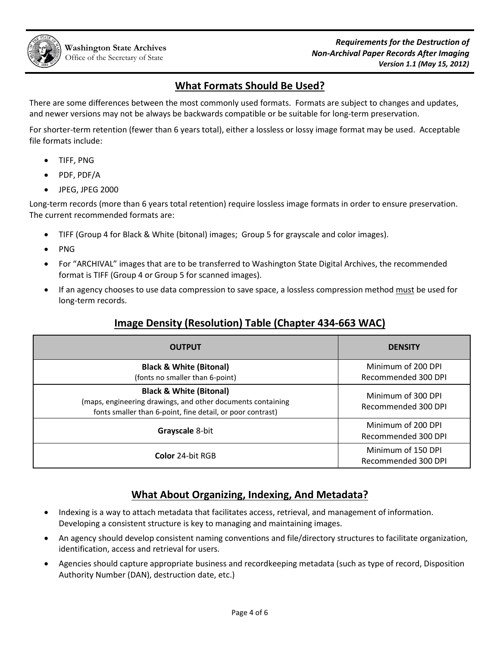## **What Formats Should Be Used?**

There are some differences between the most commonly used formats. Formats are subject to changes and updates, and newer versions may not be always be backwards compatible or be suitable for long-term preservation.

For shorter-term retention (fewer than 6 years total), either a lossless or lossy image format may be used. Acceptable file formats include:

- TIFF, PNG
- PDF, PDF/A
- JPEG, JPEG 2000

Long-term records (more than 6 years total retention) require lossless image formats in order to ensure preservation. The current recommended formats are:

- TIFF (Group 4 for Black & White (bitonal) images; Group 5 for grayscale and color images).
- PNG
- For "ARCHIVAL" images that are to be transferred to Washington State Digital Archives, the recommended format is TIFF (Group 4 or Group 5 for scanned images).
- If an agency chooses to use data compression to save space, a lossless compression method must be used for long-term records.

## **Image Density (Resolution) Table (Chapter 434-663 WAC)**

| <b>OUTPUT</b>                                                                                                                                                   | <b>DENSITY</b>                            |  |
|-----------------------------------------------------------------------------------------------------------------------------------------------------------------|-------------------------------------------|--|
| <b>Black &amp; White (Bitonal)</b><br>(fonts no smaller than 6-point)                                                                                           | Minimum of 200 DPI<br>Recommended 300 DPI |  |
| <b>Black &amp; White (Bitonal)</b><br>(maps, engineering drawings, and other documents containing<br>fonts smaller than 6-point, fine detail, or poor contrast) | Minimum of 300 DPI<br>Recommended 300 DPI |  |
| Grayscale 8-bit                                                                                                                                                 | Minimum of 200 DPI<br>Recommended 300 DPI |  |
| <b>Color 24-bit RGB</b>                                                                                                                                         | Minimum of 150 DPI<br>Recommended 300 DPI |  |

## **What About Organizing, Indexing, And Metadata?**

- Indexing is a way to attach metadata that facilitates access, retrieval, and management of information. Developing a consistent structure is key to managing and maintaining images.
- An agency should develop consistent naming conventions and file/directory structures to facilitate organization, identification, access and retrieval for users.
- Agencies should capture appropriate business and recordkeeping metadata (such as type of record, Disposition Authority Number (DAN), destruction date, etc.)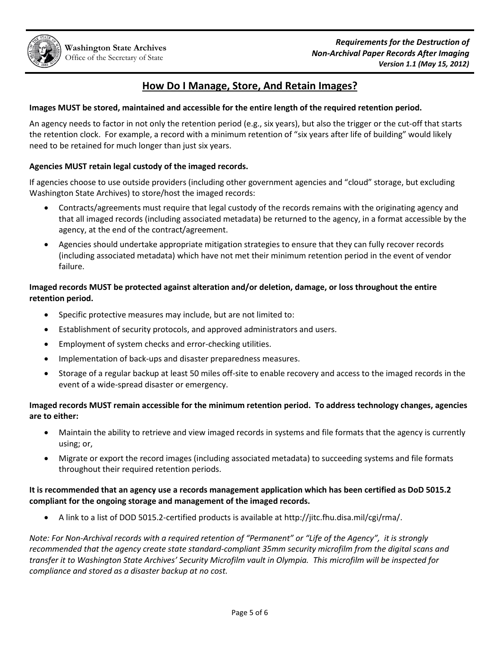## **How Do I Manage, Store, And Retain Images?**

#### **Images MUST be stored, maintained and accessible for the entire length of the required retention period.**

An agency needs to factor in not only the retention period (e.g., six years), but also the trigger or the cut-off that starts the retention clock. For example, a record with a minimum retention of "six years after life of building" would likely need to be retained for much longer than just six years.

#### **Agencies MUST retain legal custody of the imaged records.**

If agencies choose to use outside providers (including other government agencies and "cloud" storage, but excluding Washington State Archives) to store/host the imaged records:

- Contracts/agreements must require that legal custody of the records remains with the originating agency and that all imaged records (including associated metadata) be returned to the agency, in a format accessible by the agency, at the end of the contract/agreement.
- Agencies should undertake appropriate mitigation strategies to ensure that they can fully recover records (including associated metadata) which have not met their minimum retention period in the event of vendor failure.

#### **Imaged records MUST be protected against alteration and/or deletion, damage, or loss throughout the entire retention period.**

- Specific protective measures may include, but are not limited to:
- Establishment of security protocols, and approved administrators and users.
- Employment of system checks and error-checking utilities.
- Implementation of back-ups and disaster preparedness measures.
- Storage of a regular backup at least 50 miles off-site to enable recovery and access to the imaged records in the event of a wide-spread disaster or emergency.

#### **Imaged records MUST remain accessible for the minimum retention period. To address technology changes, agencies are to either:**

- Maintain the ability to retrieve and view imaged records in systems and file formats that the agency is currently using; or,
- Migrate or export the record images (including associated metadata) to succeeding systems and file formats throughout their required retention periods.

#### **It is recommended that an agency use a records management application which has been certified as DoD 5015.2 compliant for the ongoing storage and management of the imaged records.**

A link to a list of DOD 5015.2-certified products is available at [http://jitc.fhu.disa.mil/cgi/rma/.](http://jitc.fhu.disa.mil/cgi/rma/)

*Note: For Non-Archival records with a required retention of "Permanent" or "Life of the Agency", it is strongly recommended that the agency create state standard-compliant 35mm security microfilm from the digital scans and transfer it to Washington State Archives' Security Microfilm vault in Olympia. This microfilm will be inspected for compliance and stored as a disaster backup at no cost.*